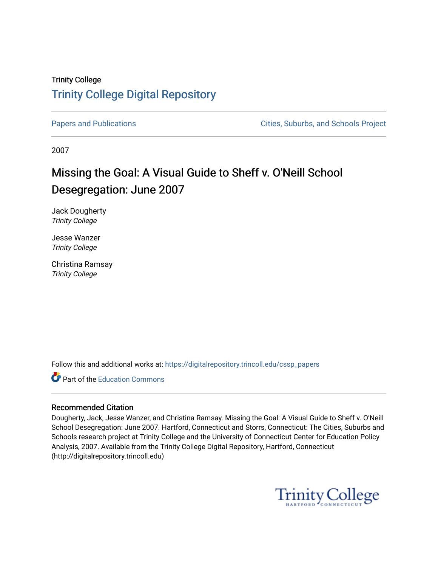### Trinity College [Trinity College Digital Repository](https://digitalrepository.trincoll.edu/)

[Papers and Publications](https://digitalrepository.trincoll.edu/cssp_papers) **Papers** and Publications **Cities**, Suburbs, and Schools Project

2007

### Missing the Goal: A Visual Guide to Sheff v. O'Neill School Desegregation: June 2007

Jack Dougherty Trinity College

Jesse Wanzer Trinity College

Christina Ramsay Trinity College

Follow this and additional works at: [https://digitalrepository.trincoll.edu/cssp\\_papers](https://digitalrepository.trincoll.edu/cssp_papers?utm_source=digitalrepository.trincoll.edu%2Fcssp_papers%2F6&utm_medium=PDF&utm_campaign=PDFCoverPages) 

**C** Part of the [Education Commons](http://network.bepress.com/hgg/discipline/784?utm_source=digitalrepository.trincoll.edu%2Fcssp_papers%2F6&utm_medium=PDF&utm_campaign=PDFCoverPages)

#### Recommended Citation

Dougherty, Jack, Jesse Wanzer, and Christina Ramsay. Missing the Goal: A Visual Guide to Sheff v. O'Neill School Desegregation: June 2007. Hartford, Connecticut and Storrs, Connecticut: The Cities, Suburbs and Schools research project at Trinity College and the University of Connecticut Center for Education Policy Analysis, 2007. Available from the Trinity College Digital Repository, Hartford, Connecticut (http://digitalrepository.trincoll.edu)

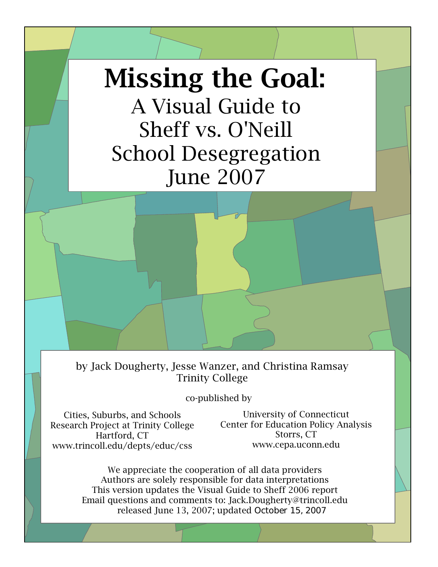# Missing the Goal:

# A Visual Guide to Sheff vs. O'Neill School Desegregation June 2007

by Jack Dougherty, Jesse Wanzer, and Christina Ramsay Trinity College

co-published by

Cities, Suburbs, and Schools Research Project at Trinity College Hartford, CT www.trincoll.edu/depts/educ/css

University of Connecticut Center for Education Policy Analysis Storrs, CT www.cepa.uconn.edu

We appreciate the cooperation of all data providers Authors are solely responsible for data interpretations This version updates the Visual Guide to Sheff 2006 report Email questions and comments to: Jack.Dougherty@trincoll.edu released June 13, 2007; updated October 15, 2007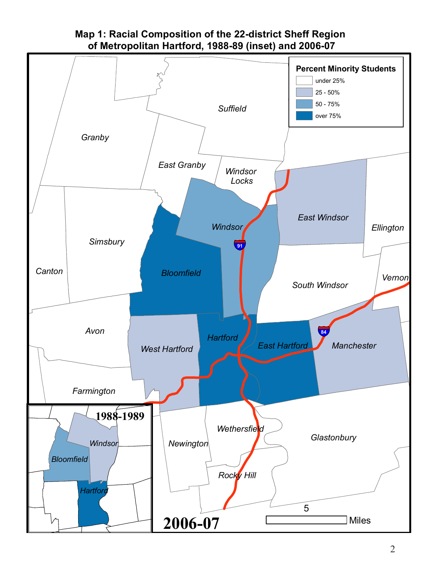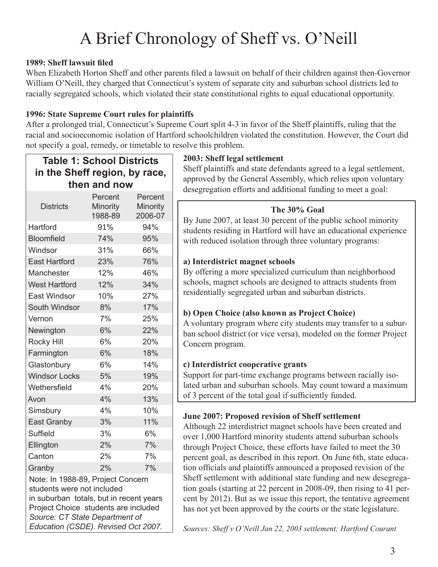## A Brief Chronology of Sheff vs. O'Neill

#### **1989: Sheff lawsuit filed**

 $\sqrt{2}$ 

When Elizabeth Horton Sheff and other parents filed a lawsuit on behalf of their children against then-Governor William O'Neill, they charged that Connecticut's system of separate city and suburban school districts led to racially segregated schools, which violated their state constitutional rights to equal educational opportunity.

#### **1996: State Supreme Court rules for plaintiffs**

After a prolonged trial, Connecticut's Supreme Court split 4-3 in favor of the Sheff plaintiffs, ruling that the racial and socioeconomic isolation of Hartford schoolchildren violated the constitution. However, the Court did not specify a goal, remedy, or timetable to resolve this problem.

| <b>Table 1: School Districts</b><br>in the Sheff region, by race,<br>then and now                                                                                                                                           |                                |                                |  |  |  |
|-----------------------------------------------------------------------------------------------------------------------------------------------------------------------------------------------------------------------------|--------------------------------|--------------------------------|--|--|--|
| <b>Districts</b>                                                                                                                                                                                                            | Percent<br>Minority<br>1988-89 | Percent<br>Minority<br>2006-07 |  |  |  |
| Hartford                                                                                                                                                                                                                    | 91%                            | 94%                            |  |  |  |
| <b>Bloomfield</b>                                                                                                                                                                                                           | 74%                            | 95%                            |  |  |  |
| Windsor                                                                                                                                                                                                                     | 31%                            | 66%                            |  |  |  |
| <b>East Hartford</b>                                                                                                                                                                                                        | 23%                            | 76%                            |  |  |  |
| Manchester                                                                                                                                                                                                                  | 12%                            | 46%                            |  |  |  |
| <b>West Hartford</b>                                                                                                                                                                                                        | 12%                            | 34%                            |  |  |  |
| <b>East Windsor</b>                                                                                                                                                                                                         | 10%                            | 27%                            |  |  |  |
| South Windsor                                                                                                                                                                                                               | 8%                             | 17%                            |  |  |  |
| Vernon                                                                                                                                                                                                                      | 7%                             | 25%                            |  |  |  |
| Newington                                                                                                                                                                                                                   | 6%                             | 22%                            |  |  |  |
| <b>Rocky Hill</b>                                                                                                                                                                                                           | 6%                             | 20%                            |  |  |  |
| Farmington                                                                                                                                                                                                                  | 6%                             | 18%                            |  |  |  |
| Glastonbury                                                                                                                                                                                                                 | 6%                             | 14%                            |  |  |  |
| <b>Windsor Locks</b>                                                                                                                                                                                                        | 5%                             | 19%                            |  |  |  |
| Wethersfield                                                                                                                                                                                                                | 4%                             | 20%                            |  |  |  |
| Avon                                                                                                                                                                                                                        | 4%                             | 13%                            |  |  |  |
| Simsbury                                                                                                                                                                                                                    | 4%                             | 10%                            |  |  |  |
| East Granby                                                                                                                                                                                                                 | 3%                             | 11%                            |  |  |  |
| <b>Suffield</b>                                                                                                                                                                                                             | 3%                             | 6%                             |  |  |  |
| Ellington                                                                                                                                                                                                                   | 2%                             | 7%                             |  |  |  |
| Canton                                                                                                                                                                                                                      | 2%                             | 7%                             |  |  |  |
| Granby                                                                                                                                                                                                                      | 2%                             | 7%                             |  |  |  |
| Note: In 1988-89, Project Concern<br>students were not included<br>in suburban totals, but in recent years<br>Project Choice students are included<br>Source: CT State Department of<br>Education (CSDE). Revised Oct 2007. |                                |                                |  |  |  |

#### **2003: Sheff legal settlement**

Sheff plaintiffs and state defendants agreed to a legal settlement, approved by the General Assembly, which relies upon voluntary desegregation efforts and additional funding to meet a goal:

#### **The 30% Goal**

By June 2007, at least 30 percent of the public school minority students residing in Hartford will have an educational experience with reduced isolation through three voluntary programs:

#### **a) Interdistrict magnet schools**

By offering a more specialized curriculum than neighborhood schools, magnet schools are designed to attracts students from residentially segregated urban and suburban districts.

#### **b) Open Choice (also known as Project Choice)**

A voluntary program where city students may transfer to a suburban school district (or vice versa), modeled on the former Project Concern program.

#### **c) Interdistrict cooperative grants**

Support for part-time exchange programs between racially isolated urban and suburban schools. May count toward a maximum of 3 percent of the total goal if sufficiently funded.

#### **June 2007: Proposed revision of Sheff settlement**

Although 22 interdistrict magnet schools have been created and over 1,000 Hartford minority students attend suburban schools through Project Choice, these efforts have failed to meet the 30 percent goal, as described in this report. On June 6th, state education officials and plaintiffs announced a proposed revision of the Sheff settlement with additional state funding and new desegregation goals (starting at 22 percent in 2008-09, then rising to 41 percent by 2012). But as we issue this report, the tentative agreement has not yet been approved by the courts or the state legislature.

*Sources: Sheff v O'Neill Jan 22, 2003 settlement; Hartford Courant*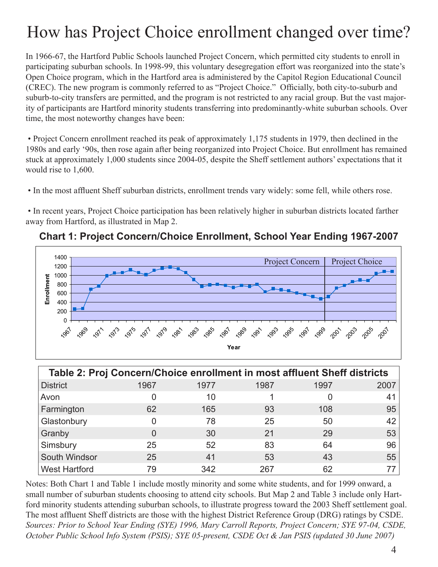### How has Project Choice enrollment changed over time?

In 1966-67, the Hartford Public Schools launched Project Concern, which permitted city students to enroll in participating suburban schools. In 1998-99, this voluntary desegregation effort was reorganized into the state's Open Choice program, which in the Hartford area is administered by the Capitol Region Educational Council (CREC). The new program is commonly referred to as "Project Choice." Officially, both city-to-suburb and suburb-to-city transfers are permitted, and the program is not restricted to any racial group. But the vast majority of participants are Hartford minority students transferring into predominantly-white suburban schools. Over time, the most noteworthy changes have been:

 • Project Concern enrollment reached its peak of approximately 1,175 students in 1979, then declined in the 1980s and early '90s, then rose again after being reorganized into Project Choice. But enrollment has remained stuck at approximately 1,000 students since 2004-05, despite the Sheff settlement authors' expectations that it would rise to 1,600.

• In the most affluent Sheff suburban districts, enrollment trends vary widely: some fell, while others rose.

 • In recent years, Project Choice participation has been relatively higher in suburban districts located farther away from Hartford, as illustrated in Map 2.



#### **Chart 1: Project Concern/Choice Enrollment, School Year Ending 1967-2007**

|                      | Table 2: Proj Concern/Choice enrollment in most affluent Sheff districts |      |      |      |      |
|----------------------|--------------------------------------------------------------------------|------|------|------|------|
| <b>District</b>      | 1967                                                                     | 1977 | 1987 | 1997 | 2007 |
| Avon                 |                                                                          | 10   |      |      | 41   |
| Farmington           | 62                                                                       | 165  | 93   | 108  | 95   |
| Glastonbury          |                                                                          | 78   | 25   | 50   | 42   |
| Granby               |                                                                          | 30   | 21   | 29   | 53   |
| Simsbury             | 25                                                                       | 52   | 83   | 64   | 96   |
| South Windsor        | 25                                                                       | 41   | 53   | 43   | 55   |
| <b>West Hartford</b> | 79                                                                       | 342  | 267  | 62   |      |

Notes: Both Chart 1 and Table 1 include mostly minority and some white students, and for 1999 onward, a small number of suburban students choosing to attend city schools. But Map 2 and Table 3 include only Hartford minority students attending suburban schools, to illustrate progress toward the 2003 Sheff settlement goal. The most affluent Sheff districts are those with the highest District Reference Group (DRG) ratings by CSDE. *Sources: Prior to School Year Ending (SYE) 1996, Mary Carroll Reports, Project Concern; SYE 97-04, CSDE, October Public School Info System (PSIS); SYE 05-present, CSDE Oct & Jan PSIS (updated 30 June 2007)*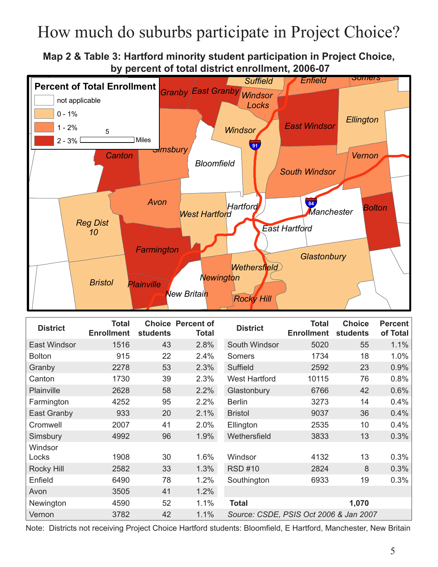### How much do suburbs participate in Project Choice?

**Map 2 & Table 3: Hartford minority student participation in Project Choice, Map 2: Students enrolled through Project Choice, by percent of total district enrollment, 2006-07 as percent of total district enrollment, 2006-07**



| <b>District</b> | <b>Total</b><br><b>Enrollment</b> | <b>students</b> | <b>Choice Percent of</b><br><b>Total</b> | <b>District</b>                        | <b>Total</b><br><b>Enrollment</b> | <b>Choice</b><br>students | <b>Percent</b><br>of Total |
|-----------------|-----------------------------------|-----------------|------------------------------------------|----------------------------------------|-----------------------------------|---------------------------|----------------------------|
| East Windsor    | 1516                              | 43              | 2.8%                                     | South Windsor                          | 5020                              | 55                        | 1.1%                       |
| <b>Bolton</b>   | 915                               | 22              | 2.4%                                     | Somers                                 | 1734                              | 18                        | 1.0%                       |
| Granby          | 2278                              | 53              | 2.3%                                     | Suffield                               | 2592                              | 23                        | 0.9%                       |
| Canton          | 1730                              | 39              | 2.3%                                     | <b>West Hartford</b>                   | 10115                             | 76                        | 0.8%                       |
| Plainville      | 2628                              | 58              | 2.2%                                     | Glastonbury                            | 6766                              | 42                        | 0.6%                       |
| Farmington      | 4252                              | 95              | 2.2%                                     | <b>Berlin</b>                          | 3273                              | 14                        | 0.4%                       |
| East Granby     | 933                               | 20              | 2.1%                                     | <b>Bristol</b>                         | 9037                              | 36                        | 0.4%                       |
| Cromwell        | 2007                              | 41              | 2.0%                                     | Ellington                              | 2535                              | 10                        | 0.4%                       |
| Simsbury        | 4992                              | 96              | 1.9%                                     | Wethersfield                           | 3833                              | 13                        | 0.3%                       |
| Windsor         |                                   |                 |                                          |                                        |                                   |                           |                            |
| Locks           | 1908                              | 30              | 1.6%                                     | Windsor                                | 4132                              | 13                        | 0.3%                       |
| Rocky Hill      | 2582                              | 33              | 1.3%                                     | <b>RSD #10</b>                         | 2824                              | 8                         | 0.3%                       |
| Enfield         | 6490                              | 78              | 1.2%                                     | Southington                            | 6933                              | 19                        | 0.3%                       |
| Avon            | 3505                              | 41              | 1.2%                                     |                                        |                                   |                           |                            |
| Newington       | 4590                              | 52              | 1.1%                                     | <b>Total</b>                           |                                   | 1,070                     |                            |
| Vernon          | 3782                              | 42              | 1.1%                                     | Source: CSDE, PSIS Oct 2006 & Jan 2007 |                                   |                           |                            |

Note: Districts not receiving Project Choice Hartford students: Bloomfield, E Hartford, Manchester, New Britain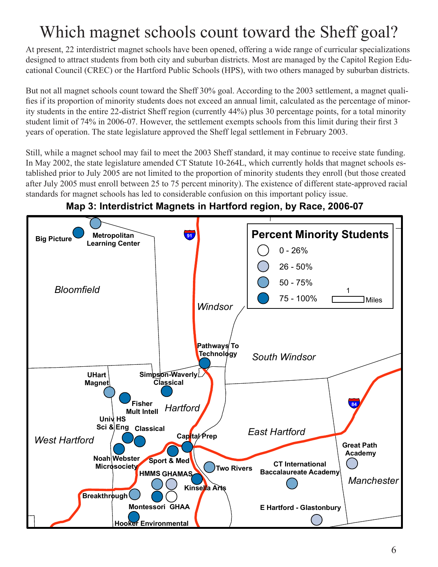# Which magnet schools count toward the Sheff goal?

At present, 22 interdistrict magnet schools have been opened, offering a wide range of curricular specializations designed to attract students from both city and suburban districts. Most are managed by the Capitol Region Educational Council (CREC) or the Hartford Public Schools (HPS), with two others managed by suburban districts.

But not all magnet schools count toward the Sheff 30% goal. According to the 2003 settlement, a magnet qualifies if its proportion of minority students does not exceed an annual limit, calculated as the percentage of minority students in the entire 22-district Sheff region (currently 44%) plus 30 percentage points, for a total minority student limit of 74% in 2006-07. However, the settlement exempts schools from this limit during their first 3 years of operation. The state legislature approved the Sheff legal settlement in February 2003.

Still, while a magnet school may fail to meet the 2003 Sheff standard, it may continue to receive state funding. In May 2002, the state legislature amended CT Statute 10-264L, which currently holds that magnet schools established prior to July 2005 are not limited to the proportion of minority students they enroll (but those created after July 2005 must enroll between 25 to 75 percent minority). The existence of different state-approved racial standards for magnet schools has led to considerable confusion on this important policy issue.



### **Map 3: Interdistrict Magnets in Hartford region, by Race, 2006-07**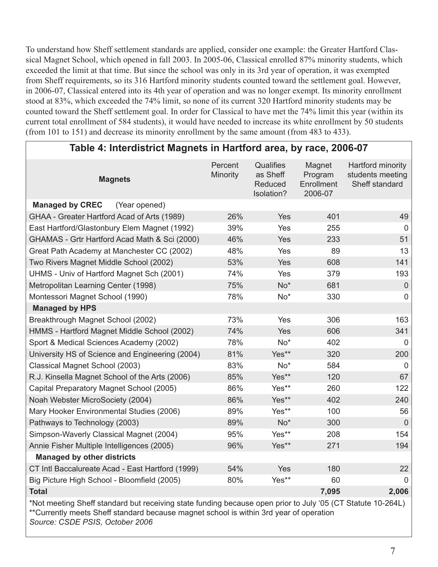To understand how Sheff settlement standards are applied, consider one example: the Greater Hartford Classical Magnet School, which opened in fall 2003. In 2005-06, Classical enrolled 87% minority students, which exceeded the limit at that time. But since the school was only in its 3rd year of operation, it was exempted from Sheff requirements, so its 316 Hartford minority students counted toward the settlement goal. However, in 2006-07, Classical entered into its 4th year of operation and was no longer exempt. Its minority enrollment stood at 83%, which exceeded the 74% limit, so none of its current 320 Hartford minority students may be counted toward the Sheff settlement goal. In order for Classical to have met the 74% limit this year (within its current total enrollment of 584 students), it would have needed to increase its white enrollment by 50 students (from 101 to 151) and decrease its minority enrollment by the same amount (from 483 to 433).

| Table 4: Interdistrict Magnets in Hartford area, by race, 2006-07                                                                                                                                                                        |                     |                                                |                                            |                                                         |  |  |
|------------------------------------------------------------------------------------------------------------------------------------------------------------------------------------------------------------------------------------------|---------------------|------------------------------------------------|--------------------------------------------|---------------------------------------------------------|--|--|
| <b>Magnets</b>                                                                                                                                                                                                                           | Percent<br>Minority | Qualifies<br>as Sheff<br>Reduced<br>Isolation? | Magnet<br>Program<br>Enrollment<br>2006-07 | Hartford minority<br>students meeting<br>Sheff standard |  |  |
| <b>Managed by CREC</b><br>(Year opened)                                                                                                                                                                                                  |                     |                                                |                                            |                                                         |  |  |
| GHAA - Greater Hartford Acad of Arts (1989)                                                                                                                                                                                              | 26%                 | <b>Yes</b>                                     | 401                                        | 49                                                      |  |  |
| East Hartford/Glastonbury Elem Magnet (1992)                                                                                                                                                                                             | 39%                 | Yes                                            | 255                                        | $\overline{0}$                                          |  |  |
| GHAMAS - Grtr Hartford Acad Math & Sci (2000)                                                                                                                                                                                            | 46%                 | Yes                                            | 233                                        | 51                                                      |  |  |
| Great Path Academy at Manchester CC (2002)                                                                                                                                                                                               | 48%                 | Yes                                            | 89                                         | 13                                                      |  |  |
| Two Rivers Magnet Middle School (2002)                                                                                                                                                                                                   | 53%                 | <b>Yes</b>                                     | 608                                        | 141                                                     |  |  |
| UHMS - Univ of Hartford Magnet Sch (2001)                                                                                                                                                                                                | 74%                 | Yes                                            | 379                                        | 193                                                     |  |  |
| Metropolitan Learning Center (1998)                                                                                                                                                                                                      | 75%                 | $No*$                                          | 681                                        | $\overline{0}$                                          |  |  |
| Montessori Magnet School (1990)                                                                                                                                                                                                          | 78%                 | No*                                            | 330                                        | 0                                                       |  |  |
| <b>Managed by HPS</b>                                                                                                                                                                                                                    |                     |                                                |                                            |                                                         |  |  |
| Breakthrough Magnet School (2002)                                                                                                                                                                                                        | 73%                 | Yes                                            | 306                                        | 163                                                     |  |  |
| HMMS - Hartford Magnet Middle School (2002)                                                                                                                                                                                              | 74%                 | <b>Yes</b>                                     | 606                                        | 341                                                     |  |  |
| Sport & Medical Sciences Academy (2002)                                                                                                                                                                                                  | 78%                 | $No*$                                          | 402                                        | $\Omega$                                                |  |  |
| University HS of Science and Engineering (2004)                                                                                                                                                                                          | 81%                 | Yes**                                          | 320                                        | 200                                                     |  |  |
| Classical Magnet School (2003)                                                                                                                                                                                                           | 83%                 | $No*$                                          | 584                                        | 0                                                       |  |  |
| R.J. Kinsella Magnet School of the Arts (2006)                                                                                                                                                                                           | 85%                 | Yes**                                          | 120                                        | 67                                                      |  |  |
| Capital Preparatory Magnet School (2005)                                                                                                                                                                                                 | 86%                 | Yes**                                          | 260                                        | 122                                                     |  |  |
| Noah Webster MicroSociety (2004)                                                                                                                                                                                                         | 86%                 | Yes**                                          | 402                                        | 240                                                     |  |  |
| Mary Hooker Environmental Studies (2006)                                                                                                                                                                                                 | 89%                 | Yes**                                          | 100                                        | 56                                                      |  |  |
| Pathways to Technology (2003)                                                                                                                                                                                                            | 89%                 | $No*$                                          | 300                                        | $\overline{0}$                                          |  |  |
| Simpson-Waverly Classical Magnet (2004)                                                                                                                                                                                                  | 95%                 | Yes**                                          | 208                                        | 154                                                     |  |  |
| Annie Fisher Multiple Intelligences (2005)                                                                                                                                                                                               | 96%                 | Yes**                                          | 271                                        | 194                                                     |  |  |
| <b>Managed by other districts</b>                                                                                                                                                                                                        |                     |                                                |                                            |                                                         |  |  |
| CT Intl Baccalureate Acad - East Hartford (1999)                                                                                                                                                                                         | 54%                 | Yes                                            | 180                                        | 22                                                      |  |  |
| Big Picture High School - Bloomfield (2005)                                                                                                                                                                                              | 80%                 | Yes**                                          | 60                                         | 0                                                       |  |  |
| <b>Total</b>                                                                                                                                                                                                                             |                     |                                                | 7,095                                      | 2,006                                                   |  |  |
| *Not meeting Sheff standard but receiving state funding because open prior to July '05 (CT Statute 10-264L)<br>**Currently meets Sheff standard because magnet school is within 3rd year of operation<br>Source: CSDE PSIS, October 2006 |                     |                                                |                                            |                                                         |  |  |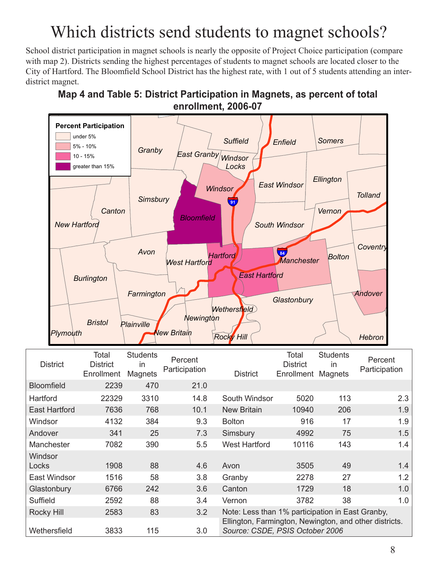## Which districts send students to magnet schools?

School district participation in magnet schools is nearly the opposite of Project Choice participation (compare with map 2). Districts sending the highest percentages of students to magnet schools are located closer to the City of Hartford. The Bloomfield School District has the highest rate, with 1 out of 5 students attending an interdistrict magnet.



### **Map 4 and Table 5: District Participation in Magnets, as percent of total Map 4: Participation in magnet schools, enrollment, 2006-07 as percent of total district enrollment, 2006-07**

| <b>District</b>         | Total<br><b>District</b><br>Enrollment | <b>Students</b><br>in<br>Magnets | Percent<br>Participation | <b>District</b>                                                                           | Total<br><b>District</b><br>Enrollment | <b>Students</b><br>in<br><b>Magnets</b> | Percent<br>Participation |
|-------------------------|----------------------------------------|----------------------------------|--------------------------|-------------------------------------------------------------------------------------------|----------------------------------------|-----------------------------------------|--------------------------|
| <b>Bloomfield</b>       | 2239                                   | 470                              | 21.0                     |                                                                                           |                                        |                                         |                          |
| Hartford                | 22329                                  | 3310                             | 14.8                     | South Windsor                                                                             | 5020                                   | 113                                     | 2.3                      |
| <b>East Hartford</b>    | 7636                                   | 768                              | 10.1                     | <b>New Britain</b>                                                                        | 10940                                  | 206                                     | 1.9                      |
| Windsor                 | 4132                                   | 384                              | 9.3                      | <b>Bolton</b>                                                                             | 916                                    | 17                                      | 1.9                      |
| Andover                 | 341                                    | 25                               | 7.3                      | Simsbury                                                                                  | 4992                                   | 75                                      | 1.5                      |
| Manchester              | 7082                                   | 390                              | 5.5                      | <b>West Hartford</b>                                                                      | 10116                                  | 143                                     | 1.4                      |
| <b>Windsor</b><br>Locks | 1908                                   | 88                               | 4.6                      | Avon                                                                                      | 3505                                   | 49                                      | 1.4                      |
| <b>East Windsor</b>     | 1516                                   | 58                               | 3.8                      | Granby                                                                                    | 2278                                   | 27                                      | 1.2                      |
| Glastonbury             | 6766                                   | 242                              | 3.6                      | Canton                                                                                    | 1729                                   | 18                                      | 1.0                      |
| Suffield                | 2592                                   | 88                               | 3.4                      | Vernon                                                                                    | 3782                                   | 38                                      | 1.0                      |
| Rocky Hill              | 2583                                   | 83                               | 3.2                      | Note: Less than 1% participation in East Granby,                                          |                                        |                                         |                          |
| Wethersfield            | 3833                                   | 115                              | 3.0                      | Ellington, Farmington, Newington, and other districts.<br>Source: CSDE, PSIS October 2006 |                                        |                                         |                          |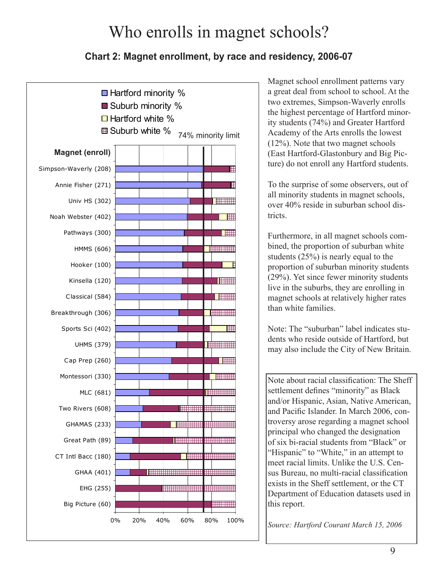### Who enrolls in magnet schools?

### **Chart 2: Magnet enrollment, by race and residency, 2006-07**



Magnet school enrollment patterns vary a great deal from school to school. At the two extremes, Simpson-Waverly enrolls the highest percentage of Hartford minority students (74%) and Greater Hartford Academy of the Arts enrolls the lowest (12%). Note that two magnet schools (East Hartford-Glastonbury and Big Picture) do not enroll any Hartford students.

To the surprise of some observers, out of all minority students in magnet schools, over 40% reside in suburban school districts.

Furthermore, in all magnet schools combined, the proportion of suburban white students (25%) is nearly equal to the proportion of suburban minority students (29%). Yet since fewer minority students live in the suburbs, they are enrolling in magnet schools at relatively higher rates than white families.

Note: The "suburban" label indicates students who reside outside of Hartford, but may also include the City of New Britain.

Note about racial classification: The Sheff settlement defines "minority" as Black and/or Hispanic, Asian, Native American, and Pacific Islander. In March 2006, controversy arose regarding a magnet school principal who changed the designation of six bi-racial students from "Black" or "Hispanic" to "White," in an attempt to meet racial limits. Unlike the U.S. Census Bureau, no multi-racial classification exists in the Sheff settlement, or the CT Department of Education datasets used in this report.

*Source: Hartford Courant March 15, 2006*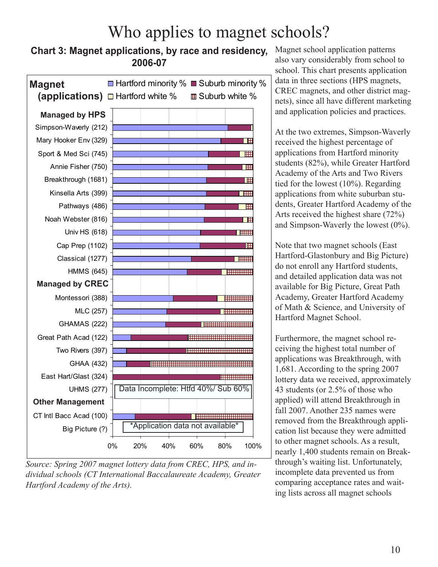### Who applies to magnet schools?

### **Chart 3: Magnet applications, by race and residency, 2006-07**



*Source: Spring 2007 magnet lottery data from CREC, HPS, and individual schools (CT International Baccalaureate Academy, Greater Hartford Academy of the Arts).*

Magnet school application patterns also vary considerably from school to school. This chart presents application data in three sections (HPS magnets, CREC magnets, and other district magnets), since all have different marketing and application policies and practices.

At the two extremes, Simpson-Waverly received the highest percentage of applications from Hartford minority students (82%), while Greater Hartford Academy of the Arts and Two Rivers tied for the lowest (10%). Regarding applications from white suburban students, Greater Hartford Academy of the Arts received the highest share (72%) and Simpson-Waverly the lowest (0%).

Note that two magnet schools (East Hartford-Glastonbury and Big Picture) do not enroll any Hartford students, and detailed application data was not available for Big Picture, Great Path Academy, Greater Hartford Academy of Math & Science, and University of Hartford Magnet School.

Furthermore, the magnet school receiving the highest total number of applications was Breakthrough, with 1,681. According to the spring 2007 lottery data we received, approximately 43 students (or 2.5% of those who applied) will attend Breakthrough in fall 2007. Another 235 names were removed from the Breakthrough application list because they were admitted to other magnet schools. As a result, nearly 1,400 students remain on Breakthrough's waiting list. Unfortunately, incomplete data prevented us from comparing acceptance rates and waiting lists across all magnet schools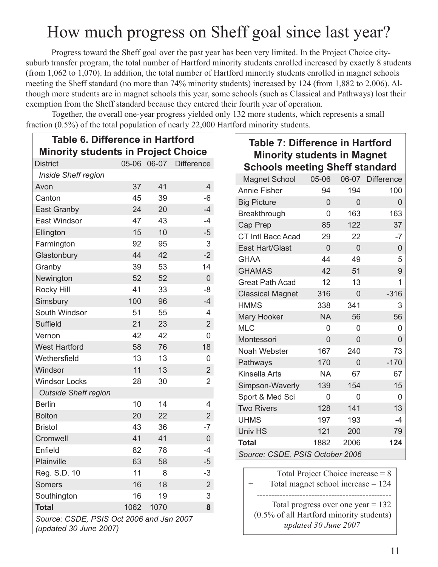### How much progress on Sheff goal since last year?

Progress toward the Sheff goal over the past year has been very limited. In the Project Choice citysuburb transfer program, the total number of Hartford minority students enrolled increased by exactly 8 students (from 1,062 to 1,070). In addition, the total number of Hartford minority students enrolled in magnet schools meeting the Sheff standard (no more than 74% minority students) increased by 124 (from 1,882 to 2,006). Although more students are in magnet schools this year, some schools (such as Classical and Pathways) lost their exemption from the Sheff standard because they entered their fourth year of operation.

 $\Gamma$ 

Together, the overall one-year progress yielded only 132 more students, which represents a small fraction (0.5%) of the total population of nearly 22,000 Hartford minority students.

| <b>Table 6. Difference in Hartford</b>                             |      |      |                        |  |  |
|--------------------------------------------------------------------|------|------|------------------------|--|--|
| <b>Minority students in Project Choice</b>                         |      |      |                        |  |  |
| <b>District</b>                                                    |      |      | 05-06 06-07 Difference |  |  |
| <b>Inside Sheff region</b>                                         |      |      |                        |  |  |
| Avon                                                               | 37   | 41   | 4                      |  |  |
| Canton                                                             | 45   | 39   | -6                     |  |  |
| East Granby                                                        | 24   | 20   | $-4$                   |  |  |
| <b>East Windsor</b>                                                | 47   | 43   | $-4$                   |  |  |
| Ellington                                                          | 15   | 10   | $-5$                   |  |  |
| Farmington                                                         | 92   | 95   | 3                      |  |  |
| Glastonbury                                                        | 44   | 42   | $-2$                   |  |  |
| Granby                                                             | 39   | 53   | 14                     |  |  |
| Newington                                                          | 52   | 52   | 0                      |  |  |
| <b>Rocky Hill</b>                                                  | 41   | 33   | -8                     |  |  |
| Simsbury                                                           | 100  | 96   | $-4$                   |  |  |
| South Windsor                                                      | 51   | 55   | 4                      |  |  |
| <b>Suffield</b>                                                    | 21   | 23   | $\overline{2}$         |  |  |
| Vernon                                                             | 42   | 42   | 0                      |  |  |
| <b>West Hartford</b>                                               | 58   | 76   | 18                     |  |  |
| Wethersfield                                                       | 13   | 13   | 0                      |  |  |
| Windsor                                                            | 11   | 13   | $\overline{2}$         |  |  |
| <b>Windsor Locks</b>                                               | 28   | 30   | $\overline{2}$         |  |  |
| <b>Outside Sheff region</b>                                        |      |      |                        |  |  |
| <b>Berlin</b>                                                      | 10   | 14   | 4                      |  |  |
| <b>Bolton</b>                                                      | 20   | 22   | $\overline{2}$         |  |  |
| <b>Bristol</b>                                                     | 43   | 36   | $-7$                   |  |  |
| Cromwell                                                           | 41   | 41   | 0                      |  |  |
| Enfield                                                            | 82   | 78   | $-4$                   |  |  |
| Plainville                                                         | 63   | 58   | $-5$                   |  |  |
| Reg. S.D. 10                                                       | 11   | 8    | -3                     |  |  |
| <b>Somers</b>                                                      | 16   | 18   | $\overline{2}$         |  |  |
| Southington                                                        | 16   | 19   | 3                      |  |  |
| <b>Total</b>                                                       | 1062 | 1070 | 8                      |  |  |
| Source: CSDE, PSIS Oct 2006 and Jan 2007<br>(updated 30 June 2007) |      |      |                        |  |  |

| <b>Table 7: Difference in Hartford</b> |                |                |                  |
|----------------------------------------|----------------|----------------|------------------|
| <b>Minority students in Magnet</b>     |                |                |                  |
| <b>Schools meeting Sheff standard</b>  |                |                |                  |
| <b>Magnet School</b>                   | 05-06          |                | 06-07 Difference |
| <b>Annie Fisher</b>                    | 94             | 194            | 100              |
| <b>Big Picture</b>                     | $\overline{0}$ | 0              | $\overline{0}$   |
| Breakthrough                           | 0              | 163            | 163              |
| Cap Prep                               | 85             | 122            | 37               |
| CT Intl Bacc Acad                      | 29             | 22             | $-7$             |
| <b>East Hart/Glast</b>                 | $\overline{0}$ | $\overline{0}$ | $\overline{0}$   |
| <b>GHAA</b>                            | 44             | 49             | 5                |
| <b>GHAMAS</b>                          | 42             | 51             | 9                |
| <b>Great Path Acad</b>                 | 12             | 13             | 1                |
| <b>Classical Magnet</b>                | 316            | 0              | $-316$           |
| <b>HMMS</b>                            | 338            | 341            | 3                |
| <b>Mary Hooker</b>                     | <b>NA</b>      | 56             | 56               |
| <b>MLC</b>                             | 0              | 0              | 0                |
| Montessori                             | $\overline{0}$ | 0              | 0                |
| Noah Webster                           | 167            | 240            | 73               |
| Pathways                               | 170            | 0              | $-170$           |
| Kinsella Arts                          | <b>NA</b>      | 67             | 67               |
| Simpson-Waverly                        | 139            | 154            | 15               |
| Sport & Med Sci                        | 0              | 0              | 0                |
| <b>Two Rivers</b>                      | 128            | 141            | 13               |
| <b>UHMS</b>                            | 197            | 193            | $-4$             |
| Univ HS                                | 121            | 200            | 79               |
| <b>Total</b>                           | 1882           | 2006           | 124              |
| Source: CSDE, PSIS October 2006        |                |                |                  |
|                                        |                |                |                  |

Total Project Choice increase = 8 Total magnet school increase  $= 124$ ----------------------------------------------- Total progress over one year  $= 132$ (0.5% of all Hartford minority students)  *updated 30 June 2007*